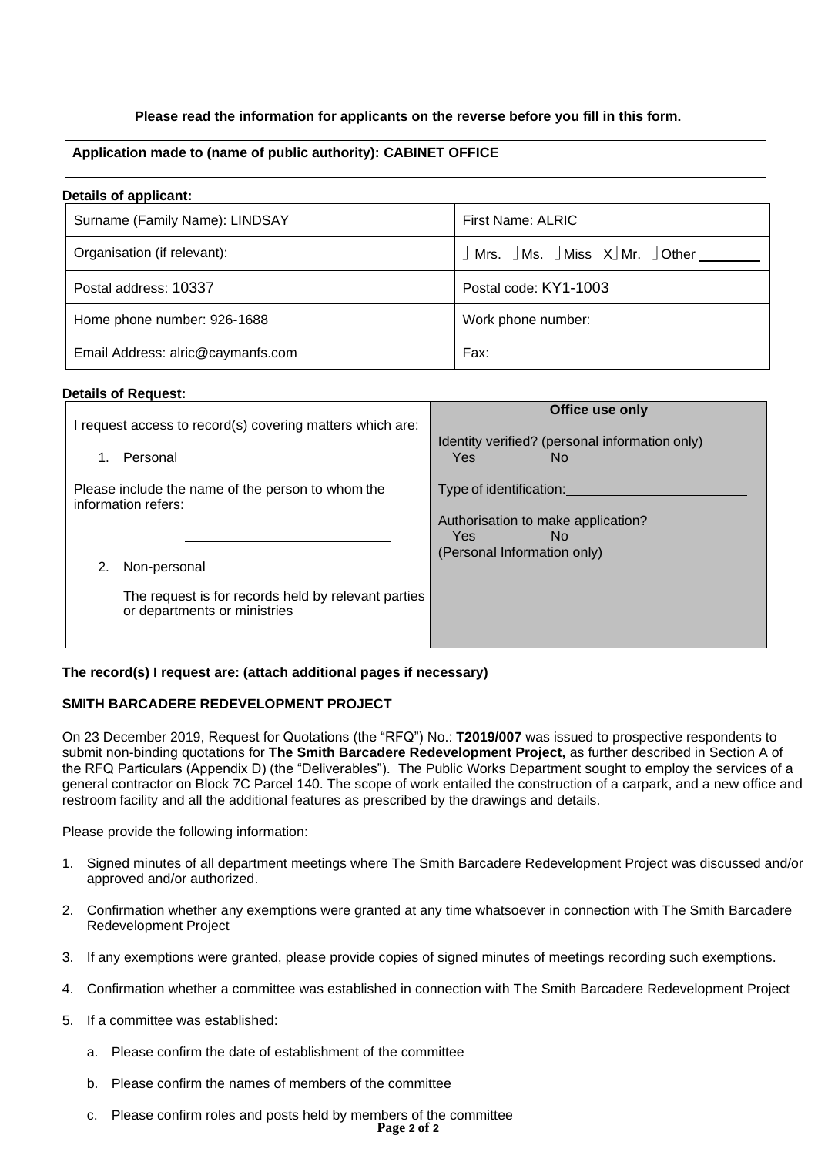# **Please read the information for applicants on the reverse before you fill in this form.**

# **Application made to (name of public authority): CABINET OFFICE**

### **Details of applicant:**

| Surname (Family Name): LINDSAY    | First Name: ALRIC                                            |
|-----------------------------------|--------------------------------------------------------------|
| Organisation (if relevant):       | $\int$ Mrs. $\int$ Ms. $\int$ Miss X $\int$ Mr. $\int$ Other |
| Postal address: 10337             | Postal code: KY1-1003                                        |
| Home phone number: 926-1688       | Work phone number:                                           |
| Email Address: alric@caymanfs.com | Fax:                                                         |

### **Details of Request:**

| I request access to record(s) covering matters which are:<br>Personal<br>1.                         | Office use only<br>Identity verified? (personal information only)<br>Yes.<br>No. |
|-----------------------------------------------------------------------------------------------------|----------------------------------------------------------------------------------|
| Please include the name of the person to whom the<br>information refers:                            | Type of identification:<br>Authorisation to make application?<br>Yes.<br>No.     |
| Non-personal<br>The request is for records held by relevant parties<br>or departments or ministries | (Personal Information only)                                                      |

# **The record(s) I request are: (attach additional pages if necessary)**

# **SMITH BARCADERE REDEVELOPMENT PROJECT**

On 23 December 2019, Request for Quotations (the "RFQ") No.: **T2019/007** was issued to prospective respondents to submit non-binding quotations for **The Smith Barcadere Redevelopment Project,** as further described in Section A of the RFQ Particulars (Appendix D) (the "Deliverables"). The Public Works Department sought to employ the services of a general contractor on Block 7C Parcel 140. The scope of work entailed the construction of a carpark, and a new office and restroom facility and all the additional features as prescribed by the drawings and details.

Please provide the following information:

- 1. Signed minutes of all department meetings where The Smith Barcadere Redevelopment Project was discussed and/or approved and/or authorized.
- 2. Confirmation whether any exemptions were granted at any time whatsoever in connection with The Smith Barcadere Redevelopment Project
- 3. If any exemptions were granted, please provide copies of signed minutes of meetings recording such exemptions.
- 4. Confirmation whether a committee was established in connection with The Smith Barcadere Redevelopment Project
- 5. If a committee was established:
	- a. Please confirm the date of establishment of the committee
	- b. Please confirm the names of members of the committee
	- c. Please confirm roles and posts held by members of the committee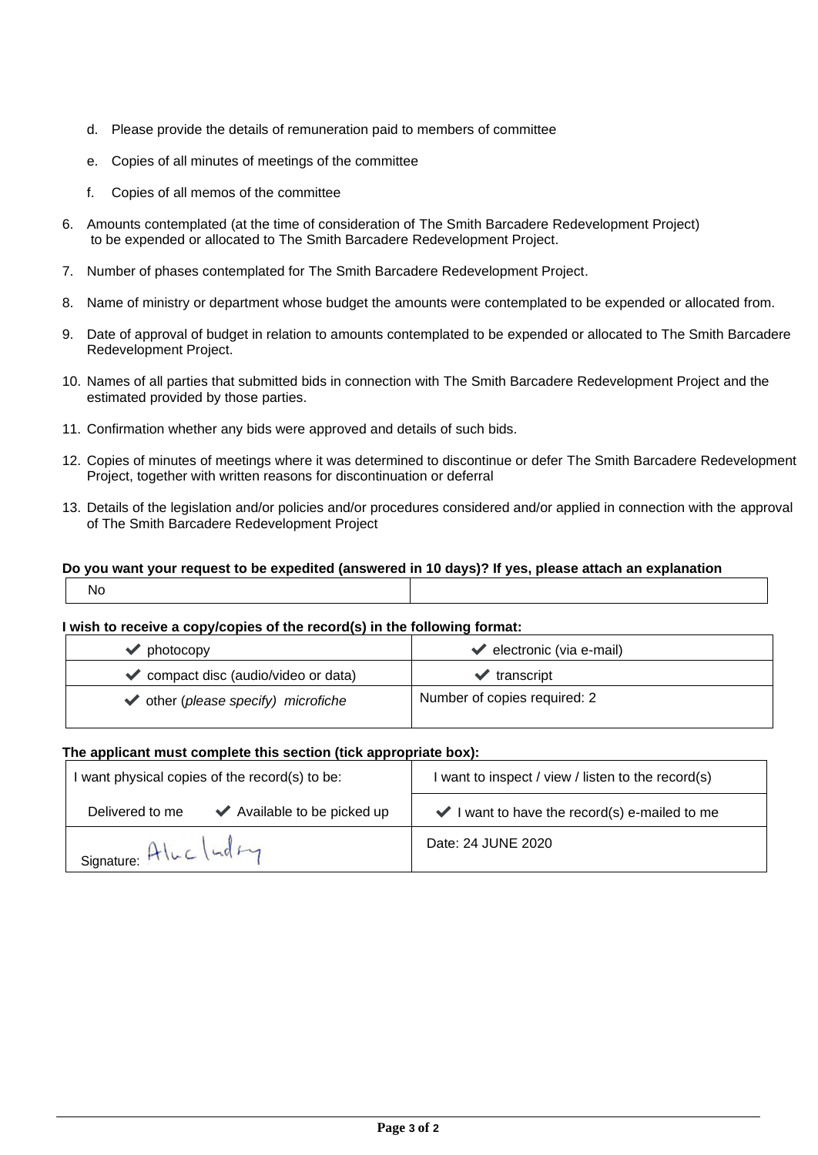- d. Please provide the details of remuneration paid to members of committee
- e. Copies of all minutes of meetings of the committee
- f. Copies of all memos of the committee
- 6. Amounts contemplated (at the time of consideration of The Smith Barcadere Redevelopment Project) to be expended or allocated to The Smith Barcadere Redevelopment Project.
- 7. Number of phases contemplated for The Smith Barcadere Redevelopment Project.
- 8. Name of ministry or department whose budget the amounts were contemplated to be expended or allocated from.
- 9. Date of approval of budget in relation to amounts contemplated to be expended or allocated to The Smith Barcadere Redevelopment Project.
- 10. Names of all parties that submitted bids in connection with The Smith Barcadere Redevelopment Project and the estimated provided by those parties.
- 11. Confirmation whether any bids were approved and details of such bids.
- 12. Copies of minutes of meetings where it was determined to discontinue or defer The Smith Barcadere Redevelopment Project, together with written reasons for discontinuation or deferral
- 13. Details of the legislation and/or policies and/or procedures considered and/or applied in connection with the approval of The Smith Barcadere Redevelopment Project

# **Do you want your request to be expedited (answered in 10 days)? If yes, please attach an explanation**

| ٦<br>$\sim$ |
|-------------|
|-------------|

# **I wish to receive a copy/copies of the record(s) in the following format:**

| ' photocopy                                              | $\blacktriangleright$ electronic (via e-mail) |
|----------------------------------------------------------|-----------------------------------------------|
| $\blacktriangleright$ compact disc (audio/video or data) | $\blacktriangleright$ transcript              |
| $\blacktriangleright$ other (please specify) microfiche  | Number of copies required: 2                  |

# **The applicant must complete this section (tick appropriate box):**

| I want physical copies of the record(s) to be:                     | I want to inspect / view / listen to the record(s)                |
|--------------------------------------------------------------------|-------------------------------------------------------------------|
| $\blacktriangleright$ Available to be picked up<br>Delivered to me | $\blacktriangleright$ I want to have the record(s) e-mailed to me |
| Signature: Alucluday                                               | Date: 24 JUNE 2020                                                |